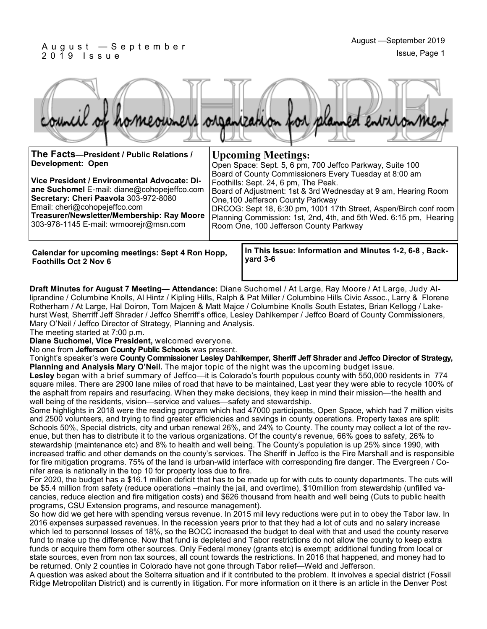#### A u g u s t — S e p t e m b e r 2 0 1 9 I s s u e



| The Facts-President / Public Relations /<br><b>Development: Open</b><br>Vice President / Environmental Advocate: Di-<br>ane Suchomel E-mail: diane@cohopejeffco.com<br>Secretary: Cheri Paavola 303-972-8080<br>Email: cheri@cohopejeffco.com<br>Treasurer/Newsletter/Membership: Ray Moore<br>303-978-1145 E-mail: wrmoorejr@msn.com | <b>Upcoming Meetings:</b><br>Open Space: Sept. 5, 6 pm, 700 Jeffco Parkway, Suite 100<br>Board of County Commissioners Every Tuesday at 8:00 am<br>Foothills: Sept. 24, 6 pm, The Peak.<br>Board of Adjustment: 1st & 3rd Wednesday at 9 am, Hearing Room<br>One, 100 Jefferson County Parkway<br>DRCOG: Sept 18, 6:30 pm, 1001 17th Street, Aspen/Birch conf room<br>Planning Commission: 1st, 2nd, 4th, and 5th Wed. 6:15 pm, Hearing<br>Room One, 100 Jefferson County Parkway |
|---------------------------------------------------------------------------------------------------------------------------------------------------------------------------------------------------------------------------------------------------------------------------------------------------------------------------------------|-----------------------------------------------------------------------------------------------------------------------------------------------------------------------------------------------------------------------------------------------------------------------------------------------------------------------------------------------------------------------------------------------------------------------------------------------------------------------------------|
| Calendar for upcoming meetings: Sept 4 Ron Hopp,<br><b>Foothills Oct 2 Nov 6</b>                                                                                                                                                                                                                                                      | In This Issue: Information and Minutes 1-2, 6-8, Back-<br>yard $3-6$                                                                                                                                                                                                                                                                                                                                                                                                              |

**Draft Minutes for August 7 Meeting— Attendance:** Diane Suchomel / At Large, Ray Moore / At Large, Judy Alliprandine / Columbine Knolls, Al Hintz / Kipling Hills, Ralph & Pat Miller / Columbine Hills Civic Assoc., Larry & Florene Rotherham / At Large, Hal Doiron, Tom Majcen & Matt Majce / Columbine Knolls South Estates, Brian Kellogg / Lakehurst West, Sherriff Jeff Shrader / Jeffco Sherriff's office, Lesley Dahlkemper / Jeffco Board of County Commissioners, Mary O'Neil / Jeffco Director of Strategy, Planning and Analysis.

The meeting started at 7:00 p.m.

**Diane Suchomel, Vice President,** welcomed everyone.

No one from **Jefferson County Public Schools** was present.

Tonight's speaker's were **County Commissioner Lesley Dahlkemper, Sheriff Jeff Shrader and Jeffco Director of Strategy, Planning and Analysis Mary O'Neil.** The major topic of the night was the upcoming budget issue.

**Lesley** began with a brief summary of Jeffco—it is Colorado's fourth populous county with 550,000 residents in 774 square miles. There are 2900 lane miles of road that have to be maintained, Last year they were able to recycle 100% of the asphalt from repairs and resurfacing. When they make decisions, they keep in mind their mission—the health and well being of the residents, vision—service and values—safety and stewardship.

Some highlights in 2018 were the reading program which had 47000 participants, Open Space, which had 7 million visits and 2500 volunteers, and trying to find greater efficiencies and savings in county operations. Property taxes are split: Schools 50%, Special districts, city and urban renewal 26%, and 24% to County. The county may collect a lot of the revenue, but then has to distribute it to the various organizations. Of the county's revenue, 66% goes to safety, 26% to stewardship (maintenance etc) and 8% to health and well being. The County's population is up 25% since 1990, with increased traffic and other demands on the county's services. The Sheriff in Jeffco is the Fire Marshall and is responsible for fire mitigation programs. 75% of the land is urban-wild interface with corresponding fire danger. The Evergreen / Conifer area is nationally in the top 10 for property loss due to fire.

For 2020, the budget has a \$16.1 million deficit that has to be made up for with cuts to county departments. The cuts will be \$5.4 million from safety (reduce operations –mainly the jail, and overtime), \$10million from stewardship (unfilled vacancies, reduce election and fire mitigation costs) and \$626 thousand from health and well being (Cuts to public health programs, CSU Extension programs, and resource management).

So how did we get here with spending versus revenue. In 2015 mil levy reductions were put in to obey the Tabor law. In 2016 expenses surpassed revenues. In the recession years prior to that they had a lot of cuts and no salary increase which led to personnel losses of 18%, so the BOCC increased the budget to deal with that and used the county reserve fund to make up the difference. Now that fund is depleted and Tabor restrictions do not allow the county to keep extra funds or acquire them form other sources. Only Federal money (grants etc) is exempt; additional funding from local or state sources, even from non tax sources, all count towards the restrictions. In 2016 that happened, and money had to be returned. Only 2 counties in Colorado have not gone through Tabor relief—Weld and Jefferson.

A question was asked about the Solterra situation and if it contributed to the problem. It involves a special district (Fossil Ridge Metropolitan District) and is currently in litigation. For more information on it there is an article in the Denver Post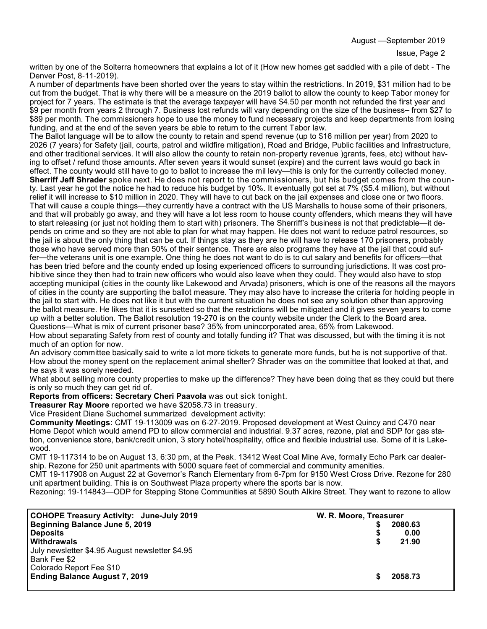August —September 2019

written by one of the Solterra homeowners that explains a lot of it (How new homes get saddled with a pile of debt - The Denver Post, 8-11-2019).

A number of departments have been shorted over the years to stay within the restrictions. In 2019, \$31 million had to be cut from the budget. That is why there will be a measure on the 2019 ballot to allow the county to keep Tabor money for project for 7 years. The estimate is that the average taxpayer will have \$4.50 per month not refunded the first year and \$9 per month from years 2 through 7. Business lost refunds will vary depending on the size of the business– from \$27 to \$89 per month. The commissioners hope to use the money to fund necessary projects and keep departments from losing funding, and at the end of the seven years be able to return to the current Tabor law.

The Ballot language will be to allow the county to retain and spend revenue (up to \$16 million per year) from 2020 to 2026 (7 years) for Safety (jail, courts, patrol and wildfire mitigation), Road and Bridge, Public facilities and Infrastructure, and other traditional services. It will also allow the county to retain non-property revenue )grants, fees, etc) without having to offset / refund those amounts. After seven years it would sunset (expire) and the current laws would go back in effect. The county would still have to go to ballot to increase the mil levy—this is only for the currently collected money. **Sherriff Jeff Shrader** spoke next. He does not report to the commissioners, but his budget comes from the county. Last year he got the notice he had to reduce his budget by 10%. It eventually got set at 7% (\$5.4 million), but without relief it will increase to \$10 million in 2020. They will have to cut back on the jail expenses and close one or two floors. That will cause a couple things—they currently have a contract with the US Marshalls to house some of their prisoners, and that will probably go away, and they will have a lot less room to house county offenders, which means they will have to start releasing (or just not holding them to start with) prisoners. The Sherriff's business is not that predictable—it depends on crime and so they are not able to plan for what may happen. He does not want to reduce patrol resources, so the jail is about the only thing that can be cut. If things stay as they are he will have to release 170 prisoners, probably those who have served more than 50% of their sentence. There are also programs they have at the jail that could suffer—the veterans unit is one example. One thing he does not want to do is to cut salary and benefits for officers—that has been tried before and the county ended up losing experienced officers to surrounding jurisdictions. It was cost prohibitive since they then had to train new officers who would also leave when they could. They would also have to stop accepting municipal (cities in the county like Lakewood and Arvada) prisoners, which is one of the reasons all the mayors of cities in the county are supporting the ballot measure. They may also have to increase the criteria for holding people in the jail to start with. He does not like it but with the current situation he does not see any solution other than approving the ballot measure. He likes that it is sunsetted so that the restrictions will be mitigated and it gives seven years to come up with a better solution. The Ballot resolution 19-270 is on the county website under the Clerk to the Board area. Questions—What is mix of current prisoner base? 35% from unincorporated area, 65% from Lakewood.

How about separating Safety from rest of county and totally funding it? That was discussed, but with the timing it is not much of an option for now.

An advisory committee basically said to write a lot more tickets to generate more funds, but he is not supportive of that. How about the money spent on the replacement animal shelter? Shrader was on the committee that looked at that, and he says it was sorely needed.

What about selling more county properties to make up the difference? They have been doing that as they could but there is only so much they can get rid of.

**Reports from officers: Secretary Cheri Paavola** was out sick tonight.

**Treasurer Ray Moore** reported we have \$2058.73 in treasury.

Vice President Diane Suchomel summarized development activity:

**Community Meetings:** CMT 19-113009 was on 6-27-2019. Proposed development at West Quincy and C470 near Home Depot which would amend PD to allow commercial and industrial. 9.37 acres, rezone, plat and SDP for gas station, convenience store, bank/credit union, 3 story hotel/hospitality, office and flexible industrial use. Some of it is Lakewood.

CMT 19-117314 to be on August 13, 6:30 pm, at the Peak. 13412 West Coal Mine Ave, formally Echo Park car dealership. Rezone for 250 unit apartments with 5000 square feet of commercial and community amenities.

CMT 19-117908 on August 22 at Governor's Ranch Elementary from 6-7pm for 9150 West Cross Drive. Rezone for 280 unit apartment building. This is on Southwest Plaza property where the sports bar is now.

Rezoning: 19-114843—ODP for Stepping Stone Communities at 5890 South Alkire Street. They want to rezone to allow

| <b>COHOPE Treasury Activity: June-July 2019</b><br>Beginning Balance June 5, 2019<br><b>Deposits</b><br><b>Withdrawals</b><br>July newsletter \$4.95 August newsletter \$4.95<br>Bank Fee \$2 | W. R. Moore, Treasurer<br>S | 2080.63<br>0.00<br>21.90 |
|-----------------------------------------------------------------------------------------------------------------------------------------------------------------------------------------------|-----------------------------|--------------------------|
| Colorado Report Fee \$10<br><b>Ending Balance August 7, 2019</b>                                                                                                                              |                             | 2058.73                  |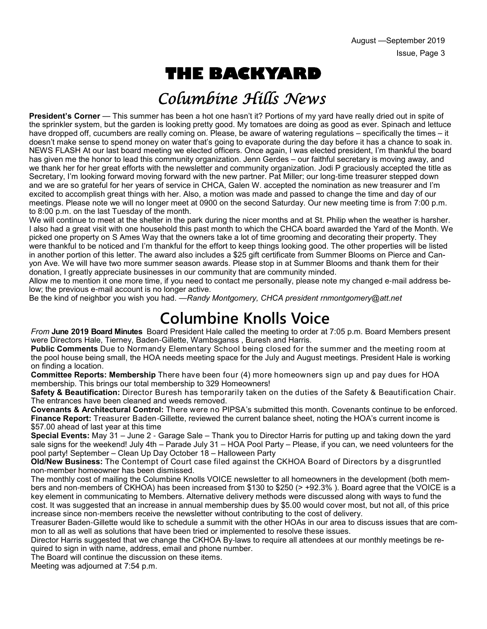# **THE BACKYARD**

# Columbine Hills News

**President's Corner** — This summer has been a hot one hasn't it? Portions of my yard have really dried out in spite of the sprinkler system, but the garden is looking pretty good. My tomatoes are doing as good as ever. Spinach and lettuce have dropped off, cucumbers are really coming on. Please, be aware of watering regulations – specifically the times – it doesn't make sense to spend money on water that's going to evaporate during the day before it has a chance to soak in. NEWS FLASH At our last board meeting we elected officers. Once again, I was elected president, I'm thankful the board has given me the honor to lead this community organization. Jenn Gerdes – our faithful secretary is moving away, and we thank her for her great efforts with the newsletter and community organization. Jodi P graciously accepted the title as Secretary, I'm looking forward moving forward with the new partner. Pat Miller; our long-time treasurer stepped down and we are so grateful for her years of service in CHCA, Galen W. accepted the nomination as new treasurer and I'm excited to accomplish great things with her. Also, a motion was made and passed to change the time and day of our meetings. Please note we will no longer meet at 0900 on the second Saturday. Our new meeting time is from 7:00 p.m. to 8:00 p.m. on the last Tuesday of the month.

We will continue to meet at the shelter in the park during the nicer months and at St. Philip when the weather is harsher. I also had a great visit with one household this past month to which the CHCA board awarded the Yard of the Month. We picked one property on S Ames Way that the owners take a lot of time grooming and decorating their property. They were thankful to be noticed and I'm thankful for the effort to keep things looking good. The other properties will be listed in another portion of this letter. The award also includes a \$25 gift certificate from Summer Blooms on Pierce and Canyon Ave. We will have two more summer season awards. Please stop in at Summer Blooms and thank them for their donation, I greatly appreciate businesses in our community that are community minded.

Allow me to mention it one more time, if you need to contact me personally, please note my changed e-mail address below; the previous e-mail account is no longer active.

Be the kind of neighbor you wish you had. —*Randy Montgomery, CHCA president rnmontgomery@att.net*

# **Columbine Knolls Voice**

*From* **June 2019 Board Minutes** Board President Hale called the meeting to order at 7:05 p.m. Board Members present were Directors Hale, Tierney, Baden-Gillette, Wambsganss , Buresh and Harris.

**Public Comments** Due to Normandy Elementary School being closed for the summer and the meeting room at the pool house being small, the HOA needs meeting space for the July and August meetings. President Hale is working on finding a location.

**Committee Reports: Membership** There have been four (4) more homeowners sign up and pay dues for HOA membership. This brings our total membership to 329 Homeowners!

**Safety & Beautification:** Director Buresh has temporarily taken on the duties of the Safety & Beautification Chair. The entrances have been cleaned and weeds removed.

**Covenants & Architectural Control:** There were no PIPSA's submitted this month. Covenants continue to be enforced. **Finance Report:** Treasurer Baden-Gillette, reviewed the current balance sheet, noting the HOA's current income is \$57.00 ahead of last year at this time

**Special Events:** May 31 – June 2 - Garage Sale – Thank you to Director Harris for putting up and taking down the yard sale signs for the weekend! July 4th – Parade July 31 – HOA Pool Party – Please, if you can, we need volunteers for the pool party! September – Clean Up Day October 18 – Halloween Party

**Old/New Business:** The Contempt of Court case filed against the CKHOA Board of Directors by a disgruntled non-member homeowner has been dismissed.

The monthly cost of mailing the Columbine Knolls VOICE newsletter to all homeowners in the development (both members and non-members of CKHOA) has been increased from \$130 to \$250 (> +92.3% ). Board agree that the VOICE is a key element in communicating to Members. Alternative delivery methods were discussed along with ways to fund the cost. It was suggested that an increase in annual membership dues by \$5.00 would cover most, but not all, of this price increase since non-members receive the newsletter without contributing to the cost of delivery.

Treasurer Baden-Gillette would like to schedule a summit with the other HOAs in our area to discuss issues that are common to all as well as solutions that have been tried or implemented to resolve these issues.

Director Harris suggested that we change the CKHOA By-laws to require all attendees at our monthly meetings be required to sign in with name, address, email and phone number.

The Board will continue the discussion on these items.

Meeting was adjourned at 7:54 p.m.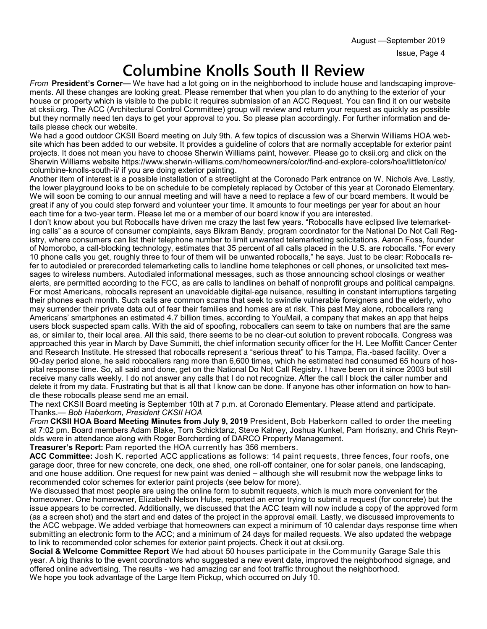# **Columbine Knolls South II Review**

*From* **President's Corner—** We have had a lot going on in the neighborhood to include house and landscaping improvements. All these changes are looking great. Please remember that when you plan to do anything to the exterior of your house or property which is visible to the public it requires submission of an ACC Request. You can find it on our website at cksii.org. The ACC (Architectural Control Committee) group will review and return your request as quickly as possible but they normally need ten days to get your approval to you. So please plan accordingly. For further information and details please check our website.

We had a good outdoor CKSII Board meeting on July 9th. A few topics of discussion was a Sherwin Williams HOA website which has been added to our website. It provides a guideline of colors that are normally acceptable for exterior paint projects. It does not mean you have to choose Sherwin Williams paint, however. Please go to cksii.org and click on the Sherwin Williams website https://www.sherwin-williams.com/homeowners/color/find-and-explore-colors/hoa/littleton/co/ columbine-knolls-south-ii/ if you are doing exterior painting.

Another item of interest is a possible installation of a streetlight at the Coronado Park entrance on W. Nichols Ave. Lastly, the lower playground looks to be on schedule to be completely replaced by October of this year at Coronado Elementary. We will soon be coming to our annual meeting and will have a need to replace a few of our board members. It would be great if any of you could step forward and volunteer your time. It amounts to four meetings per year for about an hour each time for a two-year term. Please let me or a member of our board know if you are interested.

I don't know about you but Robocalls have driven me crazy the last few years. "Robocalls have eclipsed live telemarketing calls" as a source of consumer complaints, says Bikram Bandy, program coordinator for the National Do Not Call Registry, where consumers can list their telephone number to limit unwanted telemarketing solicitations. Aaron Foss, founder of Nomorobo, a call-blocking technology, estimates that 35 percent of all calls placed in the U.S. are robocalls. "For every 10 phone calls you get, roughly three to four of them will be unwanted robocalls," he says. Just to be clear: Robocalls refer to autodialed or prerecorded telemarketing calls to landline home telephones or cell phones, or unsolicited text messages to wireless numbers. Autodialed informational messages, such as those announcing school closings or weather alerts, are permitted according to the FCC, as are calls to landlines on behalf of nonprofit groups and political campaigns. For most Americans, robocalls represent an unavoidable digital-age nuisance, resulting in constant interruptions targeting their phones each month. Such calls are common scams that seek to swindle vulnerable foreigners and the elderly, who may surrender their private data out of fear their families and homes are at risk. This past May alone, robocallers rang Americans' smartphones an estimated 4.7 billion times, according to YouMail, a company that makes an app that helps users block suspected spam calls. With the aid of spoofing, robocallers can seem to take on numbers that are the same as, or similar to, their local area. All this said, there seems to be no clear-cut solution to prevent robocalls. Congress was approached this year in March by Dave Summitt, the chief information security officer for the H. Lee Moffitt Cancer Center and Research Institute. He stressed that robocalls represent a "serious threat" to his Tampa, Fla.-based facility. Over a 90-day period alone, he said robocallers rang more than 6,600 times, which he estimated had consumed 65 hours of hospital response time. So, all said and done, get on the National Do Not Call Registry. I have been on it since 2003 but still receive many calls weekly. I do not answer any calls that I do not recognize. After the call I block the caller number and delete it from my data. Frustrating but that is all that I know can be done. If anyone has other information on how to handle these robocalls please send me an email.

The next CKSII Board meeting is September 10th at 7 p.m. at Coronado Elementary. Please attend and participate. Thanks.— *Bob Haberkorn, President CKSII HOA*

*From* **CKSII HOA Board Meeting Minutes from July 9, 2019** President, Bob Haberkorn called to order the meeting at 7:02 pm. Board members Adam Blake, Tom Schicktanz, Steve Kalney, Joshua Kunkel, Pam Horiszny, and Chris Reynolds were in attendance along with Roger Borcherding of DARCO Property Management.

**Treasurer's Report:** Pam reported the HOA currently has 356 members.

**ACC Committee:** Josh K. reported ACC applications as follows: 14 paint requests, three fences, four roofs, one garage door, three for new concrete, one deck, one shed, one roll-off container, one for solar panels, one landscaping, and one house addition. One request for new paint was denied – although she will resubmit now the webpage links to recommended color schemes for exterior paint projects (see below for more).

We discussed that most people are using the online form to submit requests, which is much more convenient for the homeowner. One homeowner, Elizabeth Nelson Hulse, reported an error trying to submit a request (for concrete) but the issue appears to be corrected. Additionally, we discussed that the ACC team will now include a copy of the approved form (as a screen shot) and the start and end dates of the project in the approval email. Lastly, we discussed improvements to the ACC webpage. We added verbiage that homeowners can expect a minimum of 10 calendar days response time when submitting an electronic form to the ACC; and a minimum of 24 days for mailed requests. We also updated the webpage to link to recommended color schemes for exterior paint projects. Check it out at cksii.org.

**Social & Welcome Committee Report** We had about 50 houses participate in the Community Garage Sale this year. A big thanks to the event coordinators who suggested a new event date, improved the neighborhood signage, and offered online advertising. The results - we had amazing car and foot traffic throughout the neighborhood. We hope you took advantage of the Large Item Pickup, which occurred on July 10.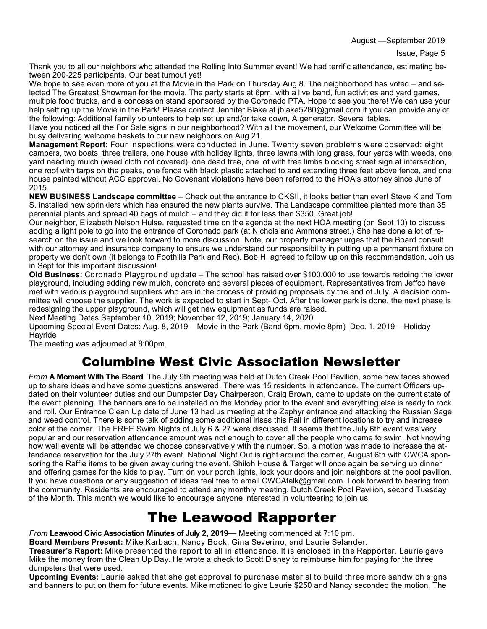August —September 2019

Thank you to all our neighbors who attended the Rolling Into Summer event! We had terrific attendance, estimating between 200-225 participants. Our best turnout yet!

We hope to see even more of you at the Movie in the Park on Thursday Aug 8. The neighborhood has voted – and selected The Greatest Showman for the movie. The party starts at 6pm, with a live band, fun activities and yard games, multiple food trucks, and a concession stand sponsored by the Coronado PTA. Hope to see you there! We can use your help setting up the Movie in the Park! Please contact Jennifer Blake at jblake5280@gmail.com if you can provide any of the following: Additional family volunteers to help set up and/or take down, A generator, Several tables.

Have you noticed all the For Sale signs in our neighborhood? With all the movement, our Welcome Committee will be busy delivering welcome baskets to our new neighbors on Aug 21.

**Management Report:** Four inspections were conducted in June. Twenty seven problems were observed: eight campers, two boats, three trailers, one house with holiday lights, three lawns with long grass, four yards with weeds, one yard needing mulch (weed cloth not covered), one dead tree, one lot with tree limbs blocking street sign at intersection, one roof with tarps on the peaks, one fence with black plastic attached to and extending three feet above fence, and one house painted without ACC approval. No Covenant violations have been referred to the HOA's attorney since June of 2015.

**NEW BUSINESS Landscape committee** – Check out the entrance to CKSII, it looks better than ever! Steve K and Tom S. installed new sprinklers which has ensured the new plants survive. The Landscape committee planted more than 35 perennial plants and spread 40 bags of mulch – and they did it for less than \$350. Great job!

Our neighbor, Elizabeth Nelson Hulse, requested time on the agenda at the next HOA meeting (on Sept 10) to discuss adding a light pole to go into the entrance of Coronado park (at Nichols and Ammons street.) She has done a lot of research on the issue and we look forward to more discussion. Note, our property manager urges that the Board consult with our attorney and insurance company to ensure we understand our responsibility in putting up a permanent fixture on property we don't own (it belongs to Foothills Park and Rec). Bob H. agreed to follow up on this recommendation. Join us in Sept for this important discussion!

**Old Business:** Coronado Playground update – The school has raised over \$100,000 to use towards redoing the lower playground, including adding new mulch, concrete and several pieces of equipment. Representatives from Jeffco have met with various playground suppliers who are in the process of providing proposals by the end of July. A decision committee will choose the supplier. The work is expected to start in Sept- Oct. After the lower park is done, the next phase is redesigning the upper playground, which will get new equipment as funds are raised.

Next Meeting Dates September 10, 2019; November 12, 2019; January 14, 2020

Upcoming Special Event Dates: Aug. 8, 2019 – Movie in the Park (Band 6pm, movie 8pm) Dec. 1, 2019 – Holiday **Havride** 

The meeting was adjourned at 8:00pm.

## Columbine West Civic Association Newsletter

*From* **A Moment With The Board** The July 9th meeting was held at Dutch Creek Pool Pavilion, some new faces showed up to share ideas and have some questions answered. There was 15 residents in attendance. The current Officers updated on their volunteer duties and our Dumpster Day Chairperson, Craig Brown, came to update on the current state of the event planning. The banners are to be installed on the Monday prior to the event and everything else is ready to rock and roll. Our Entrance Clean Up date of June 13 had us meeting at the Zephyr entrance and attacking the Russian Sage and weed control. There is some talk of adding some additional irises this Fall in different locations to try and increase color at the corner. The FREE Swim Nights of July 6 & 27 were discussed. It seems that the July 6th event was very popular and our reservation attendance amount was not enough to cover all the people who came to swim. Not knowing how well events will be attended we choose conservatively with the number. So, a motion was made to increase the attendance reservation for the July 27th event. National Night Out is right around the corner, August 6th with CWCA sponsoring the Raffle items to be given away during the event. Shiloh House & Target will once again be serving up dinner and offering games for the kids to play. Turn on your porch lights, lock your doors and join neighbors at the pool pavilion. If you have questions or any suggestion of ideas feel free to email CWCAtalk@gmail.com. Look forward to hearing from the community. Residents are encouraged to attend any monthly meeting. Dutch Creek Pool Pavilion, second Tuesday of the Month. This month we would like to encourage anyone interested in volunteering to join us.

## The Leawood Rapporter

*From* **Leawood Civic Association Minutes of July 2, 2019**— Meeting commenced at 7:10 pm.

**Board Members Present:** Mike Karbach, Nancy Bock, Gina Severino, and Laurie Selander.

**Treasurer's Report:** Mike presented the report to all in attendance. It is enclosed in the Rapporter. Laurie gave Mike the money from the Clean Up Day. He wrote a check to Scott Disney to reimburse him for paying for the three dumpsters that were used.

**Upcoming Events:** Laurie asked that she get approval to purchase material to build three more sandwich signs and banners to put on them for future events. Mike motioned to give Laurie \$250 and Nancy seconded the motion. The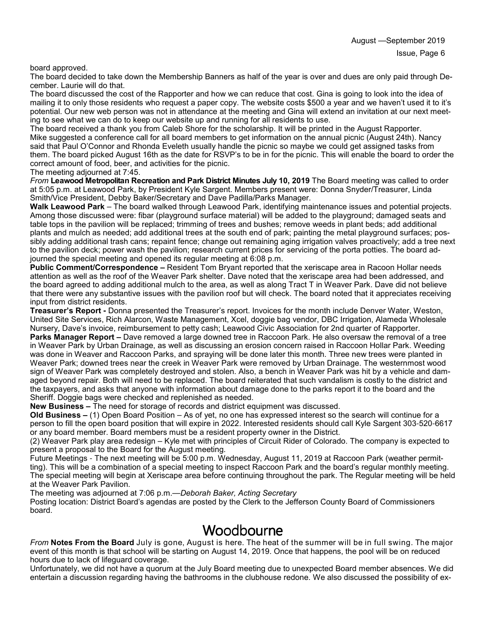board approved.

The board decided to take down the Membership Banners as half of the year is over and dues are only paid through December. Laurie will do that.

The board discussed the cost of the Rapporter and how we can reduce that cost. Gina is going to look into the idea of mailing it to only those residents who request a paper copy. The website costs \$500 a year and we haven't used it to it's potential. Our new web person was not in attendance at the meeting and Gina will extend an invitation at our next meeting to see what we can do to keep our website up and running for all residents to use.

The board received a thank you from Caleb Shore for the scholarship. It will be printed in the August Rapporter. Mike suggested a conference call for all board members to get information on the annual picnic (August 24th). Nancy said that Paul O'Connor and Rhonda Eveleth usually handle the picnic so maybe we could get assigned tasks from them. The board picked August 16th as the date for RSVP's to be in for the picnic. This will enable the board to order the correct amount of food, beer, and activities for the picnic.

The meeting adjourned at 7:45.

*From* **Leawood Metropolitan Recreation and Park District Minutes July 10, 2019** The Board meeting was called to order at 5:05 p.m. at Leawood Park, by President Kyle Sargent. Members present were: Donna Snyder/Treasurer, Linda Smith/Vice President, Debby Baker/Secretary and Dave Padilla/Parks Manager.

**Walk Leawood Park** – The board walked through Leawood Park, identifying maintenance issues and potential projects. Among those discussed were: fibar (playground surface material) will be added to the playground; damaged seats and table tops in the pavilion will be replaced; trimming of trees and bushes; remove weeds in plant beds; add additional plants and mulch as needed; add additional trees at the south end of park; painting the metal playground surfaces; possibly adding additional trash cans; repaint fence; change out remaining aging irrigation valves proactively; add a tree next to the pavilion deck; power wash the pavilion; research current prices for servicing of the porta potties. The board adjourned the special meeting and opened its regular meeting at 6:08 p.m.

**Public Comment/Correspondence –** Resident Tom Bryant reported that the xeriscape area in Racoon Hollar needs attention as well as the roof of the Weaver Park shelter. Dave noted that the xeriscape area had been addressed, and the board agreed to adding additional mulch to the area, as well as along Tract T in Weaver Park. Dave did not believe that there were any substantive issues with the pavilion roof but will check. The board noted that it appreciates receiving input from district residents.

**Treasurer's Report -** Donna presented the Treasurer's report. Invoices for the month include Denver Water, Weston, United Site Services, Rich Alarcon, Waste Management, Xcel, doggie bag vendor, DBC Irrigation, Alameda Wholesale Nursery, Dave's invoice, reimbursement to petty cash; Leawood Civic Association for 2nd quarter of Rapporter. **Parks Manager Report –** Dave removed a large downed tree in Raccoon Park. He also oversaw the removal of a tree in Weaver Park by Urban Drainage, as well as discussing an erosion concern raised in Raccoon Hollar Park. Weeding was done in Weaver and Raccoon Parks, and spraying will be done later this month. Three new trees were planted in Weaver Park; downed trees near the creek in Weaver Park were removed by Urban Drainage. The westernmost wood sign of Weaver Park was completely destroyed and stolen. Also, a bench in Weaver Park was hit by a vehicle and damaged beyond repair. Both will need to be replaced. The board reiterated that such vandalism is costly to the district and the taxpayers, and asks that anyone with information about damage done to the parks report it to the board and the Sheriff. Doggie bags were checked and replenished as needed.

**New Business –** The need for storage of records and district equipment was discussed.

**Old Business –** (1) Open Board Position – As of yet, no one has expressed interest so the search will continue for a person to fill the open board position that will expire in 2022. Interested residents should call Kyle Sargent 303-520-6617 or any board member. Board members must be a resident property owner in the District.

(2) Weaver Park play area redesign – Kyle met with principles of Circuit Rider of Colorado. The company is expected to present a proposal to the Board for the August meeting.

Future Meetings - The next meeting will be 5:00 p.m. Wednesday, August 11, 2019 at Raccoon Park (weather permitting). This will be a combination of a special meeting to inspect Raccoon Park and the board's regular monthly meeting. The special meeting will begin at Xeriscape area before continuing throughout the park. The Regular meeting will be held at the Weaver Park Pavilion.

The meeting was adjourned at 7:06 p.m.—*Deborah Baker, Acting Secretary*

Posting location: District Board's agendas are posted by the Clerk to the Jefferson County Board of Commissioners board.

### Woodbourne

*From* **Notes From the Board** July is gone, August is here. The heat of the summer will be in full swing. The major event of this month is that school will be starting on August 14, 2019. Once that happens, the pool will be on reduced hours due to lack of lifeguard coverage.

Unfortunately, we did not have a quorum at the July Board meeting due to unexpected Board member absences. We did entertain a discussion regarding having the bathrooms in the clubhouse redone. We also discussed the possibility of ex-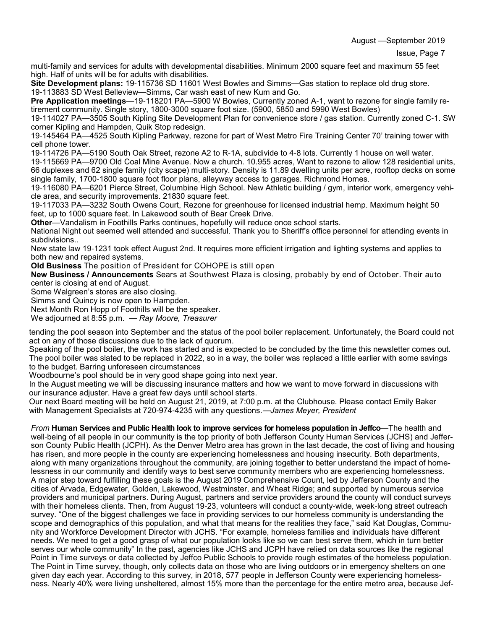August —September 2019

multi-family and services for adults with developmental disabilities. Minimum 2000 square feet and maximum 55 feet high. Half of units will be for adults with disabilities.

**Site Development plans:** 19-115736 SD 11601 West Bowles and Simms—Gas station to replace old drug store. 19-113883 SD West Belleview—Simms, Car wash east of new Kum and Go.

**Pre Application meetings**—19-118201 PA—5900 W Bowles, Currently zoned A-1, want to rezone for single family retirement community. Single story, 1800-3000 square foot size. (5900, 5850 and 5990 West Bowles)

19-114027 PA—3505 South Kipling Site Development Plan for convenience store / gas station. Currently zoned C-1. SW corner Kipling and Hampden, Quik Stop redesign.

19-145464 PA—4525 South Kipling Parkway, rezone for part of West Metro Fire Training Center 70' training tower with cell phone tower.

19-114726 PA—5190 South Oak Street, rezone A2 to R-1A, subdivide to 4-8 lots. Currently 1 house on well water.

19-115669 PA—9700 Old Coal Mine Avenue. Now a church. 10.955 acres, Want to rezone to allow 128 residential units, 66 duplexes and 62 single family (city scape) multi-story. Density is 11.89 dwelling units per acre, rooftop decks on some single family, 1700-1800 square foot floor plans, alleyway access to garages. Richmond Homes.

19-116080 PA—6201 Pierce Street, Columbine High School. New Athletic building / gym, interior work, emergency vehicle area, and security improvements. 21830 square feet.

19-117033 PA—3232 South Owens Court, Rezone for greenhouse for licensed industrial hemp. Maximum height 50 feet, up to 1000 square feet. In Lakewood south of Bear Creek Drive.

**Other**—Vandalism in Foothills Parks continues, hopefully will reduce once school starts.

National Night out seemed well attended and successful. Thank you to Sheriff's office personnel for attending events in subdivisions..

New state law 19-1231 took effect August 2nd. It requires more efficient irrigation and lighting systems and applies to both new and repaired systems.

**Old Business** The position of President for COHOPE is still open

**New Business / Announcements** Sears at Southwest Plaza is closing, probably by end of October. Their auto center is closing at end of August.

Some Walgreen's stores are also closing.

Simms and Quincy is now open to Hampden.

Next Month Ron Hopp of Foothills will be the speaker.

We adjourned at 8:55 p.m. — *Ray Moore, Treasurer*

tending the pool season into September and the status of the pool boiler replacement. Unfortunately, the Board could not act on any of those discussions due to the lack of quorum.

Speaking of the pool boiler, the work has started and is expected to be concluded by the time this newsletter comes out. The pool boiler was slated to be replaced in 2022, so in a way, the boiler was replaced a little earlier with some savings to the budget. Barring unforeseen circumstances

Woodbourne's pool should be in very good shape going into next year.

In the August meeting we will be discussing insurance matters and how we want to move forward in discussions with our insurance adjuster. Have a great few days until school starts.

Our next Board meeting will be held on August 21, 2019, at 7:00 p.m. at the Clubhouse. Please contact Emily Baker with Management Specialists at 720-974-4235 with any questions.—*James Meyer, President*

*From* **Human Services and Public Health look to improve services for homeless population in Jeffco**—The health and well-being of all people in our community is the top priority of both Jefferson County Human Services (JCHS) and Jefferson County Public Health (JCPH). As the Denver Metro area has grown in the last decade, the cost of living and housing has risen, and more people in the county are experiencing homelessness and housing insecurity. Both departments, along with many organizations throughout the community, are joining together to better understand the impact of homelessness in our community and identify ways to best serve community members who are experiencing homelessness. A major step toward fulfilling these goals is the August 2019 Comprehensive Count, led by Jefferson County and the cities of Arvada, Edgewater, Golden, Lakewood, Westminster, and Wheat Ridge; and supported by numerous service providers and municipal partners. During August, partners and service providers around the county will conduct surveys with their homeless clients. Then, from August 19-23, volunteers will conduct a county-wide, week-long street outreach survey. "One of the biggest challenges we face in providing services to our homeless community is understanding the scope and demographics of this population, and what that means for the realities they face," said Kat Douglas, Community and Workforce Development Director with JCHS. "For example, homeless families and individuals have different needs. We need to get a good grasp of what our population looks like so we can best serve them, which in turn better serves our whole community" In the past, agencies like JCHS and JCPH have relied on data sources like the regional Point in Time surveys or data collected by Jeffco Public Schools to provide rough estimates of the homeless population. The Point in Time survey, though, only collects data on those who are living outdoors or in emergency shelters on one given day each year. According to this survey, in 2018, 577 people in Jefferson County were experiencing homelessness. Nearly 40% were living unsheltered, almost 15% more than the percentage for the entire metro area, because Jef-